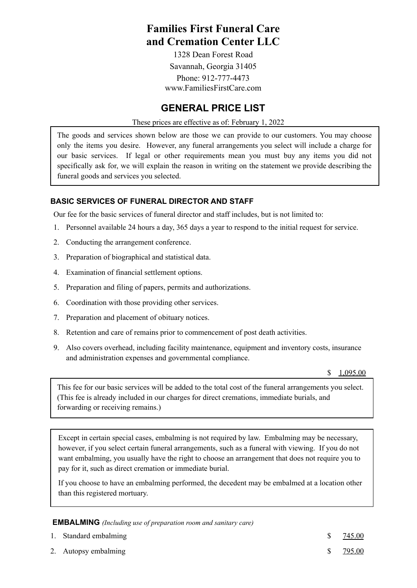# **Families First Funeral Care and Cremation Center LLC**

1328 Dean Forest Road Savannah, Georgia 31405 Phone: 912-777-4473 www.FamiliesFirstCare.com

## **GENERAL PRICE LIST**

#### These prices are effective as of: February 1, 2022

The goods and services shown below are those we can provide to our customers. You may choose only the items you desire. However, any funeral arrangements you select will include a charge for our basic services. If legal or other requirements mean you must buy any items you did not specifically ask for, we will explain the reason in writing on the statement we provide describing the funeral goods and services you selected.

#### **BASIC SERVICES OF FUNERAL DIRECTOR AND STAFF**

Our fee for the basic services of funeral director and staff includes, but is not limited to:

- 1. Personnel available 24 hours a day, 365 days a year to respond to the initial request for service.
- 2. Conducting the arrangement conference.
- 3. Preparation of biographical and statistical data.
- 4. Examination of financial settlement options.
- 5. Preparation and filing of papers, permits and authorizations.
- 6. Coordination with those providing other services.
- 7. Preparation and placement of obituary notices.
- 8. Retention and care of remains prior to commencement of post death activities.
- 9. Also covers overhead, including facility maintenance, equipment and inventory costs, insurance and administration expenses and governmental compliance.

\$ 1,095.00

This fee for our basic services will be added to the total cost of the funeral arrangements you select. (This fee is already included in our charges for direct cremations, immediate burials, and forwarding or receiving remains.)

Except in certain special cases, embalming is not required by law. Embalming may be necessary, however, if you select certain funeral arrangements, such as a funeral with viewing. If you do not want embalming, you usually have the right to choose an arrangement that does not require you to pay for it, such as direct cremation or immediate burial.

If you choose to have an embalming performed, the decedent may be embalmed at a location other than this registered mortuary.

**EMBALMING** *(Including use of preparation room and sanitary care)*

| S | 745.00        |
|---|---------------|
| S | <u>795.00</u> |

2. Autopsy embalming

1. Standard embalming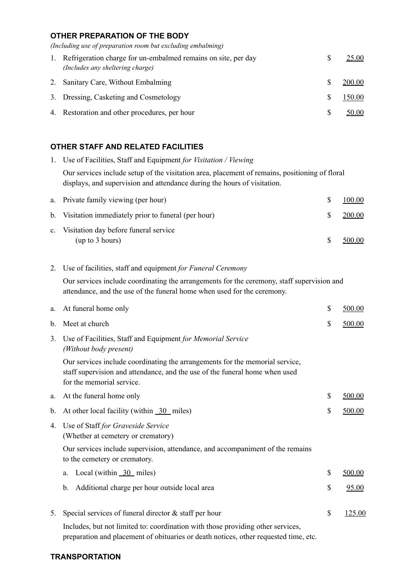## **OTHER PREPARATION OF THE BODY**

*(Including use of preparation room but excluding embalming)*

| 1. | Refrigeration charge for un-embalmed remains on site, per day<br>(Includes any sheltering charge) | S | 25.00  |
|----|---------------------------------------------------------------------------------------------------|---|--------|
|    | 2. Sanitary Care, Without Embalming                                                               | S | 200.00 |
|    | 3. Dressing, Casketing and Cosmetology                                                            | S | 150.00 |
|    | 4. Restoration and other procedures, per hour                                                     | S | 50.00  |

## **OTHER STAFF AND RELATED FACILITIES**

| 1.             | Use of Facilities, Staff and Equipment for Visitation / Viewing                                                                                                                          |                    |
|----------------|------------------------------------------------------------------------------------------------------------------------------------------------------------------------------------------|--------------------|
|                | Our services include setup of the visitation area, placement of remains, positioning of floral<br>displays, and supervision and attendance during the hours of visitation.               |                    |
| a.             | Private family viewing (per hour)                                                                                                                                                        | \$<br>100.00       |
| b.             | Visitation immediately prior to funeral (per hour)                                                                                                                                       | \$<br>200.00       |
| $\mathbf{c}$ . | Visitation day before funeral service<br>(up to 3 hours)                                                                                                                                 | \$<br>500.00       |
| 2.             | Use of facilities, staff and equipment for Funeral Ceremony                                                                                                                              |                    |
|                | Our services include coordinating the arrangements for the ceremony, staff supervision and<br>attendance, and the use of the funeral home when used for the ceremony.                    |                    |
| a.             | At funeral home only                                                                                                                                                                     | \$<br>500.00       |
| b.             | Meet at church                                                                                                                                                                           | \$<br>500.00       |
| 3.             | Use of Facilities, Staff and Equipment for Memorial Service<br>(Without body present)                                                                                                    |                    |
|                | Our services include coordinating the arrangements for the memorial service,<br>staff supervision and attendance, and the use of the funeral home when used<br>for the memorial service. |                    |
| a.             | At the funeral home only                                                                                                                                                                 | \$<br>500.00       |
| b.             | At other local facility (within $\frac{30}{10}$ miles)                                                                                                                                   | \$<br>500.00       |
| 4.             | Use of Staff for Graveside Service<br>(Whether at cemetery or crematory)                                                                                                                 |                    |
|                | Our services include supervision, attendance, and accompaniment of the remains<br>to the cemetery or crematory.                                                                          |                    |
|                | Local (within $\frac{30}{20}$ miles)<br>a.                                                                                                                                               | \$<br>500.00       |
|                | Additional charge per hour outside local area<br>b.                                                                                                                                      | \$<br><u>95.00</u> |
| 5.             | Special services of funeral director $&$ staff per hour                                                                                                                                  | \$<br>125.00       |
|                | Includes, but not limited to: coordination with those providing other services,                                                                                                          |                    |

preparation and placement of obituaries or death notices, other requested time, etc.

## **TRANSPORTATION**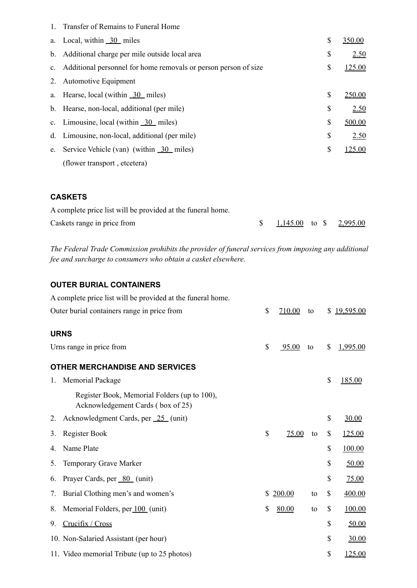|    | 1. Transfer of Remains to Funeral Home                             |              |
|----|--------------------------------------------------------------------|--------------|
| a. | Local, within $\overline{30}$ miles                                | \$<br>350.00 |
|    | b. Additional charge per mile outside local area                   | \$<br>2.50   |
|    | c. Additional personnel for home removals or person person of size | \$<br>125.00 |
| 2. | <b>Automotive Equipment</b>                                        |              |
|    | a. Hearse, local (within 30 miles)                                 | \$<br>250.00 |
|    | b. Hearse, non-local, additional (per mile)                        | \$<br>2.50   |
|    | c. Limousine, local (within $\overline{30}$ miles)                 | \$<br>500.00 |
|    | d. Limousine, non-local, additional (per mile)                     | \$<br>2.50   |
| e. | Service Vehicle (van) (within 30 miles)                            | \$<br>125.00 |
|    | (flower transport, etcetera)                                       |              |
|    |                                                                    |              |

## **CASKETS**

| A complete price list will be provided at the funeral home. |                         |  |  |
|-------------------------------------------------------------|-------------------------|--|--|
| Caskets range in price from                                 | 1,145.00 to \$ 2,995.00 |  |  |

*The Federal Trade Commission prohibits the provider of funeral services from imposing any additional fee and surcharge to consumers who obtain a casket elsewhere.*

## **OUTER BURIAL CONTAINERS**

|    | A complete price list will be provided at the funeral home.                       |              |    |              |           |
|----|-----------------------------------------------------------------------------------|--------------|----|--------------|-----------|
|    | Outer burial containers range in price from                                       | \$<br>710.00 | to | S.           | 19,595.00 |
|    | <b>URNS</b>                                                                       |              |    |              |           |
|    | Urns range in price from                                                          | \$<br>95.00  | to | \$           | 1,995.00  |
|    | <b>OTHER MERCHANDISE AND SERVICES</b>                                             |              |    |              |           |
| 1. | Memorial Package                                                                  |              |    | \$           | 185.00    |
|    | Register Book, Memorial Folders (up to 100),<br>Acknowledgement Cards (box of 25) |              |    |              |           |
| 2. | Acknowledgment Cards, per 25 (unit)                                               |              |    | \$           | 30.00     |
| 3. | Register Book                                                                     | \$<br>75.00  | to | \$           | 125.00    |
| 4. | Name Plate                                                                        |              |    | \$           | 100.00    |
| 5. | Temporary Grave Marker                                                            |              |    | \$           | 50.00     |
| 6. | Prayer Cards, per 80 (unit)                                                       |              |    | \$           | 75.00     |
| 7. | Burial Clothing men's and women's                                                 | \$<br>200.00 | to | \$           | 400.00    |
| 8. | Memorial Folders, per 100 (unit)                                                  | \$<br>80.00  | to | \$           | 100.00    |
| 9. | Crucifix / Cross                                                                  |              |    | \$           | 50.00     |
|    | 10. Non-Salaried Assistant (per hour)                                             |              |    | $\mathbb{S}$ | 30.00     |
|    | 11. Video memorial Tribute (up to 25 photos)                                      |              |    | \$           | 125.00    |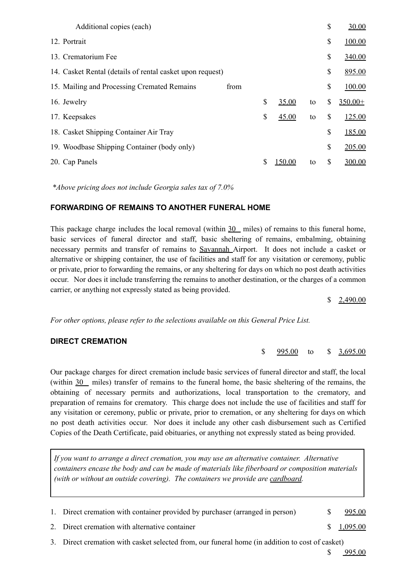| Additional copies (each)                                  |      |    |        |    | \$<br>30.00     |
|-----------------------------------------------------------|------|----|--------|----|-----------------|
| 12. Portrait                                              |      |    |        |    | \$<br>100.00    |
| 13. Crematorium Fee                                       |      |    |        |    | \$<br>340.00    |
| 14. Casket Rental (details of rental casket upon request) |      |    |        |    | \$<br>895.00    |
| 15. Mailing and Processing Cremated Remains               | from |    |        |    | \$<br>100.00    |
| 16. Jewelry                                               |      | \$ | 35.00  | to | \$<br>$350.00+$ |
| 17. Keepsakes                                             |      | \$ | 45.00  | to | \$<br>125.00    |
| 18. Casket Shipping Container Air Tray                    |      |    |        |    | \$<br>185.00    |
| 19. Woodbase Shipping Container (body only)               |      |    |        |    | \$<br>205.00    |
| 20. Cap Panels                                            |      | S  | 150.00 | to | \$<br>300.00    |
|                                                           |      |    |        |    |                 |

*\*Above pricing does not include Georgia sales tax of 7.0%*

#### **FORWARDING OF REMAINS TO ANOTHER FUNERAL HOME**

This package charge includes the local removal (within 30 miles) of remains to this funeral home, basic services of funeral director and staff, basic sheltering of remains, embalming, obtaining necessary permits and transfer of remains to Savannah Airport. It does not include a casket or alternative or shipping container, the use of facilities and staff for any visitation or ceremony, public or private, prior to forwarding the remains, or any sheltering for days on which no post death activities occur. Nor does it include transferring the remains to another destination, or the charges of a common carrier, or anything not expressly stated as being provided.

\$ 2,490.00

\$ 995.00 to \$ 3,695.00

*For other options, please refer to the selections available on this General Price List.*

#### **DIRECT CREMATION**

Our package charges for direct cremation include basic services of funeral director and staff, the local (within 30 miles) transfer of remains to the funeral home, the basic sheltering of the remains, the obtaining of necessary permits and authorizations, local transportation to the crematory, and preparation of remains for crematory. This charge does not include the use of facilities and staff for any visitation or ceremony, public or private, prior to cremation, or any sheltering for days on which no post death activities occur. Nor does it include any other cash disbursement such as Certified Copies of the Death Certificate, paid obituaries, or anything not expressly stated as being provided.

*If you want to arrange a direct cremation, you may use an alternative container. Alternative containers encase the body and can be made of materials like fiberboard or composition materials (with or without an outside covering). The containers we provide are cardboard.*

1. Direct cremation with container provided by purchaser (arranged in person) \$ 995.00

2. Direct cremation with alternative container  $\qquad \qquad$  8 1,095.00

3. Direct cremation with casket selected from, our funeral home (in addition to cost of casket)